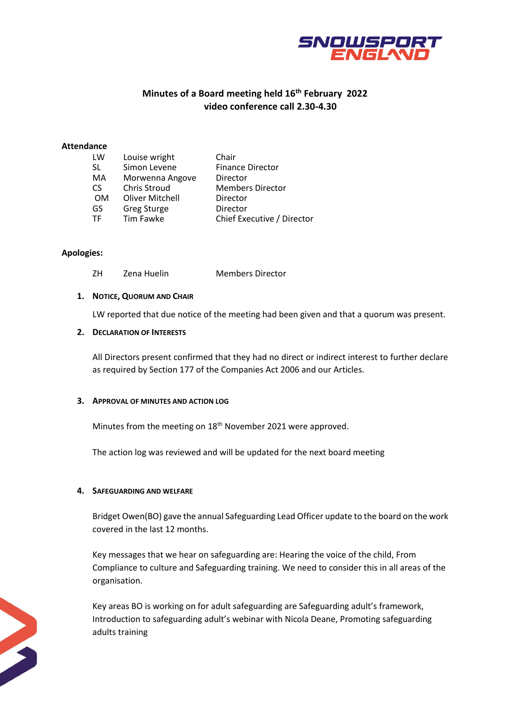

# **Minutes of a Board meeting held 16th February 2022 video conference call 2.30-4.30**

#### **Attendance**

| LW  | Louise wright          | Chair                      |
|-----|------------------------|----------------------------|
| SL. | Simon Levene           | <b>Finance Director</b>    |
| MA  | Morwenna Angove        | Director                   |
| CS  | Chris Stroud           | <b>Members Director</b>    |
| 0M  | <b>Oliver Mitchell</b> | Director                   |
| GS  | <b>Greg Sturge</b>     | Director                   |
| TF  | <b>Tim Fawke</b>       | Chief Executive / Director |
|     |                        |                            |

#### **Apologies:**

ZH Zena Huelin Members Director

#### **1. NOTICE, QUORUM AND CHAIR**

LW reported that due notice of the meeting had been given and that a quorum was present.

### **2. DECLARATION OF INTERESTS**

All Directors present confirmed that they had no direct or indirect interest to further declare as required by Section 177 of the Companies Act 2006 and our Articles.

### **3. APPROVAL OF MINUTES AND ACTION LOG**

Minutes from the meeting on 18<sup>th</sup> November 2021 were approved.

The action log was reviewed and will be updated for the next board meeting

### **4. SAFEGUARDING AND WELFARE**

Bridget Owen(BO) gave the annual Safeguarding Lead Officer update to the board on the work covered in the last 12 months.

Key messages that we hear on safeguarding are: Hearing the voice of the child, From Compliance to culture and Safeguarding training. We need to consider this in all areas of the organisation.

Key areas BO is working on for adult safeguarding are Safeguarding adult's framework, Introduction to safeguarding adult's webinar with Nicola Deane, Promoting safeguarding adults training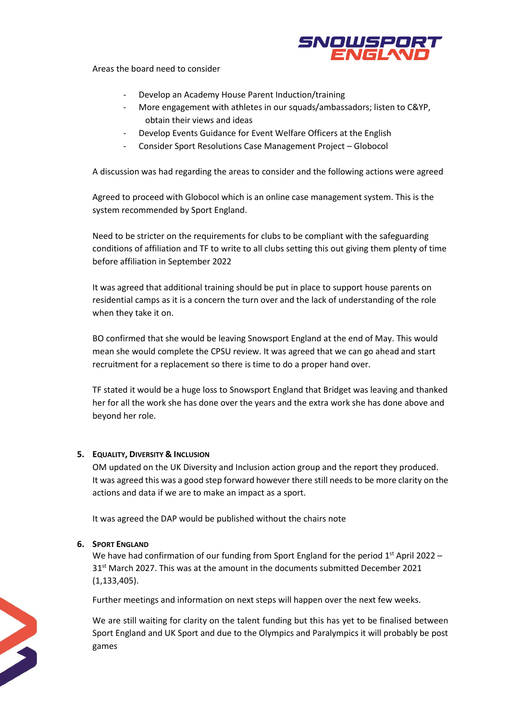

Areas the board need to consider

- Develop an Academy House Parent Induction/training
- More engagement with athletes in our squads/ambassadors; listen to C&YP, obtain their views and ideas
- Develop Events Guidance for Event Welfare Officers at the English
- Consider Sport Resolutions Case Management Project Globocol

A discussion was had regarding the areas to consider and the following actions were agreed

Agreed to proceed with Globocol which is an online case management system. This is the system recommended by Sport England.

Need to be stricter on the requirements for clubs to be compliant with the safeguarding conditions of affiliation and TF to write to all clubs setting this out giving them plenty of time before affiliation in September 2022

It was agreed that additional training should be put in place to support house parents on residential camps as it is a concern the turn over and the lack of understanding of the role when they take it on.

BO confirmed that she would be leaving Snowsport England at the end of May. This would mean she would complete the CPSU review. It was agreed that we can go ahead and start recruitment for a replacement so there is time to do a proper hand over.

TF stated it would be a huge loss to Snowsport England that Bridget was leaving and thanked her for all the work she has done over the years and the extra work she has done above and beyond her role.

# **5. EQUALITY, DIVERSITY & INCLUSION**

OM updated on the UK Diversity and Inclusion action group and the report they produced. It was agreed this was a good step forward however there still needs to be more clarity on the actions and data if we are to make an impact as a sport.

It was agreed the DAP would be published without the chairs note

# **6. SPORT ENGLAND**

We have had confirmation of our funding from Sport England for the period  $1<sup>st</sup>$  April 2022 – 31<sup>st</sup> March 2027. This was at the amount in the documents submitted December 2021 (1,133,405).

Further meetings and information on next steps will happen over the next few weeks.

We are still waiting for clarity on the talent funding but this has yet to be finalised between Sport England and UK Sport and due to the Olympics and Paralympics it will probably be post games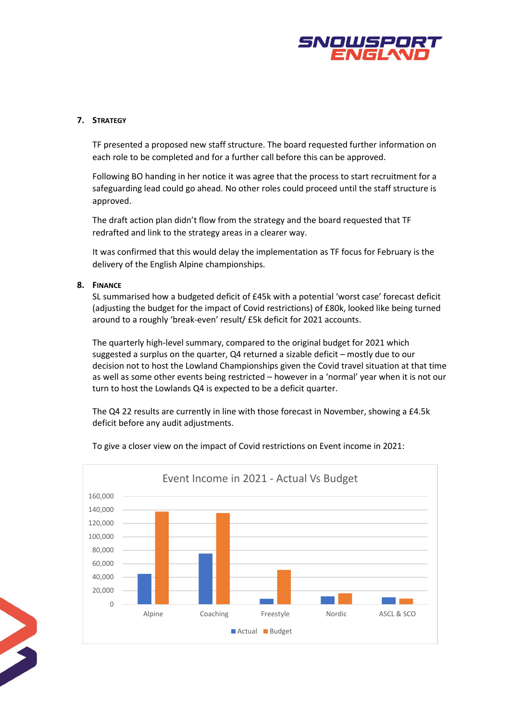

### **7. STRATEGY**

TF presented a proposed new staff structure. The board requested further information on each role to be completed and for a further call before this can be approved.

Following BO handing in her notice it was agree that the process to start recruitment for a safeguarding lead could go ahead. No other roles could proceed until the staff structure is approved.

The draft action plan didn't flow from the strategy and the board requested that TF redrafted and link to the strategy areas in a clearer way.

It was confirmed that this would delay the implementation as TF focus for February is the delivery of the English Alpine championships.

#### **8. FINANCE**

SL summarised how a budgeted deficit of £45k with a potential 'worst case' forecast deficit (adjusting the budget for the impact of Covid restrictions) of £80k, looked like being turned around to a roughly 'break-even' result/ £5k deficit for 2021 accounts.

The quarterly high-level summary, compared to the original budget for 2021 which suggested a surplus on the quarter, Q4 returned a sizable deficit – mostly due to our decision not to host the Lowland Championships given the Covid travel situation at that time as well as some other events being restricted – however in a 'normal' year when it is not our turn to host the Lowlands Q4 is expected to be a deficit quarter.

The Q4 22 results are currently in line with those forecast in November, showing a £4.5k deficit before any audit adjustments.



To give a closer view on the impact of Covid restrictions on Event income in 2021:

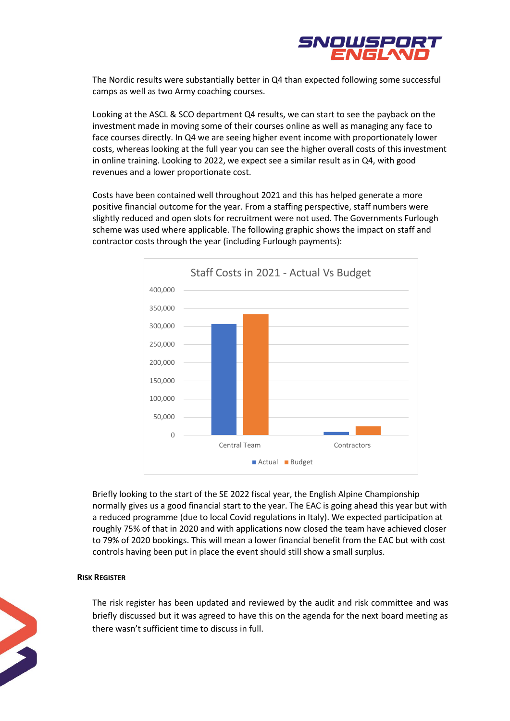

The Nordic results were substantially better in Q4 than expected following some successful camps as well as two Army coaching courses.

Looking at the ASCL & SCO department Q4 results, we can start to see the payback on the investment made in moving some of their courses online as well as managing any face to face courses directly. In Q4 we are seeing higher event income with proportionately lower costs, whereas looking at the full year you can see the higher overall costs of this investment in online training. Looking to 2022, we expect see a similar result as in Q4, with good revenues and a lower proportionate cost.

Costs have been contained well throughout 2021 and this has helped generate a more positive financial outcome for the year. From a staffing perspective, staff numbers were slightly reduced and open slots for recruitment were not used. The Governments Furlough scheme was used where applicable. The following graphic shows the impact on staff and contractor costs through the year (including Furlough payments):



Briefly looking to the start of the SE 2022 fiscal year, the English Alpine Championship normally gives us a good financial start to the year. The EAC is going ahead this year but with a reduced programme (due to local Covid regulations in Italy). We expected participation at roughly 75% of that in 2020 and with applications now closed the team have achieved closer to 79% of 2020 bookings. This will mean a lower financial benefit from the EAC but with cost controls having been put in place the event should still show a small surplus.

### **RISK REGISTER**

The risk register has been updated and reviewed by the audit and risk committee and was briefly discussed but it was agreed to have this on the agenda for the next board meeting as there wasn't sufficient time to discuss in full.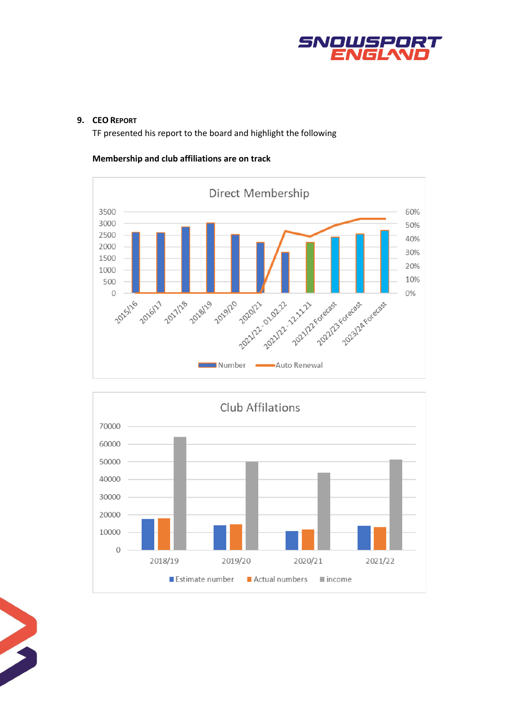

### **9. CEO REPORT**

TF presented his report to the board and highlight the following

### **Membership and club affiliations are on track**





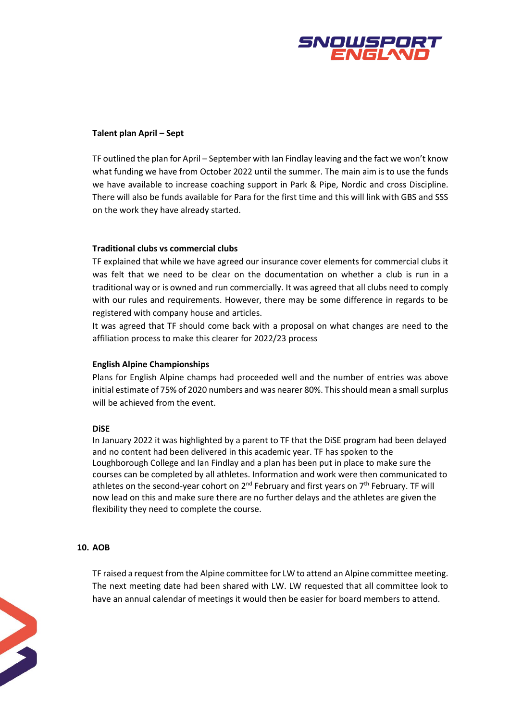

#### **Talent plan April – Sept**

TF outlined the plan for April – September with Ian Findlay leaving and the fact we won't know what funding we have from October 2022 until the summer. The main aim is to use the funds we have available to increase coaching support in Park & Pipe, Nordic and cross Discipline. There will also be funds available for Para for the first time and this will link with GBS and SSS on the work they have already started.

#### **Traditional clubs vs commercial clubs**

TF explained that while we have agreed our insurance cover elements for commercial clubs it was felt that we need to be clear on the documentation on whether a club is run in a traditional way or is owned and run commercially. It was agreed that all clubs need to comply with our rules and requirements. However, there may be some difference in regards to be registered with company house and articles.

It was agreed that TF should come back with a proposal on what changes are need to the affiliation process to make this clearer for 2022/23 process

#### **English Alpine Championships**

Plans for English Alpine champs had proceeded well and the number of entries was above initial estimate of 75% of 2020 numbers and was nearer 80%. This should mean a small surplus will be achieved from the event.

#### **DiSE**

In January 2022 it was highlighted by a parent to TF that the DiSE program had been delayed and no content had been delivered in this academic year. TF has spoken to the Loughborough College and Ian Findlay and a plan has been put in place to make sure the courses can be completed by all athletes. Information and work were then communicated to athletes on the second-year cohort on  $2^{nd}$  February and first years on  $7<sup>th</sup>$  February. TF will now lead on this and make sure there are no further delays and the athletes are given the flexibility they need to complete the course.

#### **10. AOB**

TF raised a request from the Alpine committee for LW to attend an Alpine committee meeting. The next meeting date had been shared with LW. LW requested that all committee look to have an annual calendar of meetings it would then be easier for board members to attend.

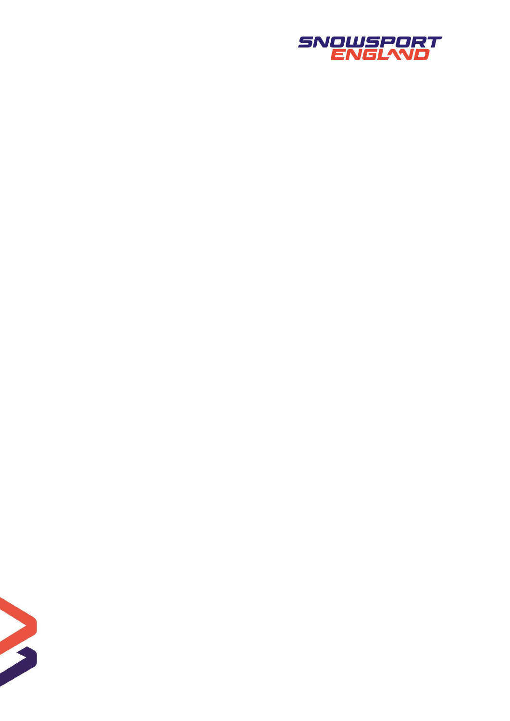